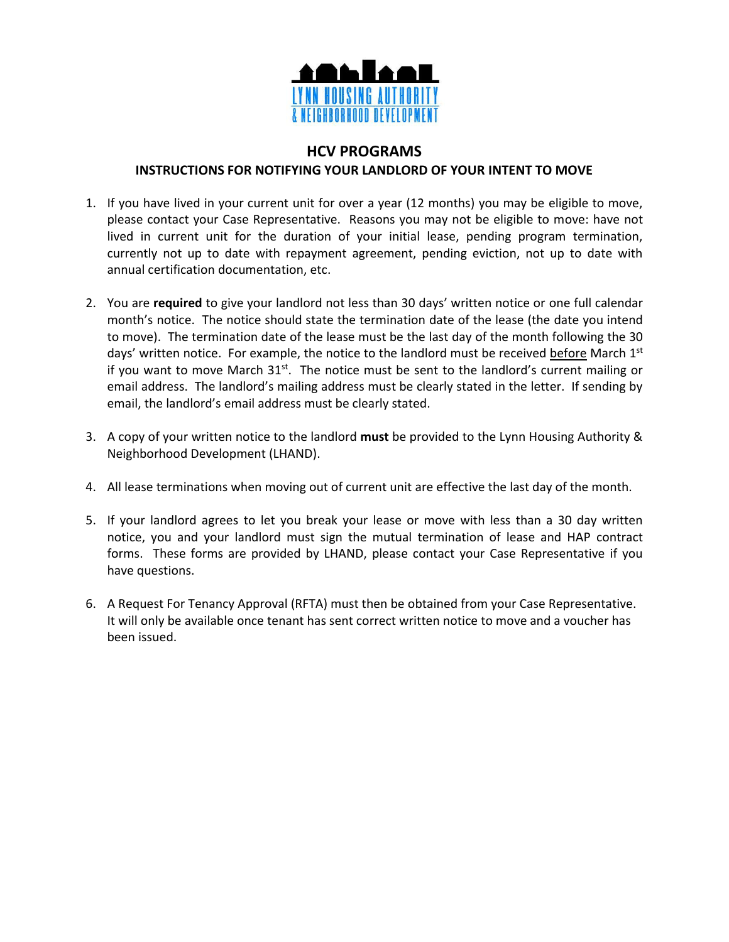

## **HCV PROGRAMS**

## **INSTRUCTIONS FOR NOTIFYING YOUR LANDLORD OF YOUR INTENT TO MOVE**

- 1. If you have lived in your current unit for over a year (12 months) you may be eligible to move, please contact your Case Representative. Reasons you may not be eligible to move: have not lived in current unit for the duration of your initial lease, pending program termination, currently not up to date with repayment agreement, pending eviction, not up to date with annual certification documentation, etc.
- 2. You are **required** to give your landlord not less than 30 days' written notice or one full calendar month's notice. The notice should state the termination date of the lease (the date you intend to move). The termination date of the lease must be the last day of the month following the 30 days' written notice. For example, the notice to the landlord must be received before March 1st if you want to move March 31<sup>st</sup>. The notice must be sent to the landlord's current mailing or email address. The landlord's mailing address must be clearly stated in the letter. If sending by email, the landlord's email address must be clearly stated.
- 3. A copy of your written notice to the landlord **must** be provided to the Lynn Housing Authority & Neighborhood Development (LHAND).
- 4. All lease terminations when moving out of current unit are effective the last day of the month.
- 5. If your landlord agrees to let you break your lease or move with less than a 30 day written notice, you and your landlord must sign the mutual termination of lease and HAP contract forms. These forms are provided by LHAND, please contact your Case Representative if you have questions.
- 6. A Request For Tenancy Approval (RFTA) must then be obtained from your Case Representative. It will only be available once tenant has sent correct written notice to move and a voucher has been issued.